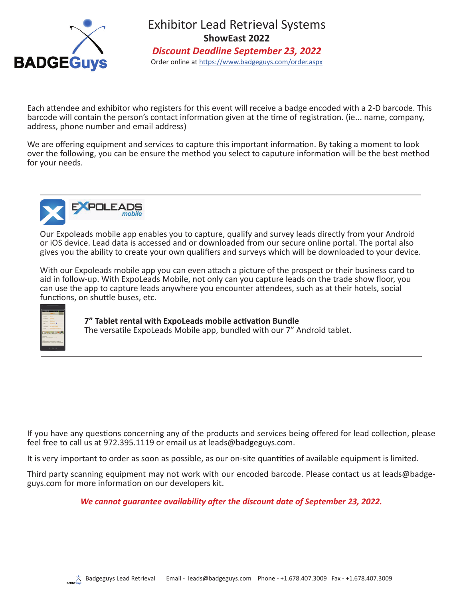

Exhibitor Lead Retrieval Systems **ShowEast 2022** *Discount Deadline September 23, 2022* Order online at https://www.badgeguys.com/order.aspx

Each attendee and exhibitor who registers for this event will receive a badge encoded with a 2-D barcode. This barcode will contain the person's contact information given at the time of registration. (ie... name, company, address, phone number and email address)

We are offering equipment and services to capture this important information. By taking a moment to look over the following, you can be ensure the method you select to caputure information will be the best method for your needs.



Our Expoleads mobile app enables you to capture, qualify and survey leads directly from your Android or iOS device. Lead data is accessed and or downloaded from our secure online portal. The portal also gives you the ability to create your own qualifiers and surveys which will be downloaded to your device.

With our Expoleads mobile app you can even attach a picture of the prospect or their business card to aid in follow-up. With ExpoLeads Mobile, not only can you capture leads on the trade show floor, you can use the app to capture leads anywhere you encounter attendees, such as at their hotels, social functions, on shuttle buses, etc.



#### **7"** Tablet rental with ExpoLeads mobile activation Bundle

The versatile ExpoLeads Mobile app, bundled with our 7" Android tablet.

If you have any questions concerning any of the products and services being offered for lead collection, please feel free to call us at 972.395.1119 or email us at leads@badgeguys.com.

It is very important to order as soon as possible, as our on-site quantities of available equipment is limited.

Third party scanning equipment may not work with our encoded barcode. Please contact us at leads@badgeguys.com for more information on our developers kit.

*We cannot guarantee availability after the discount date of September 23, 2022.*